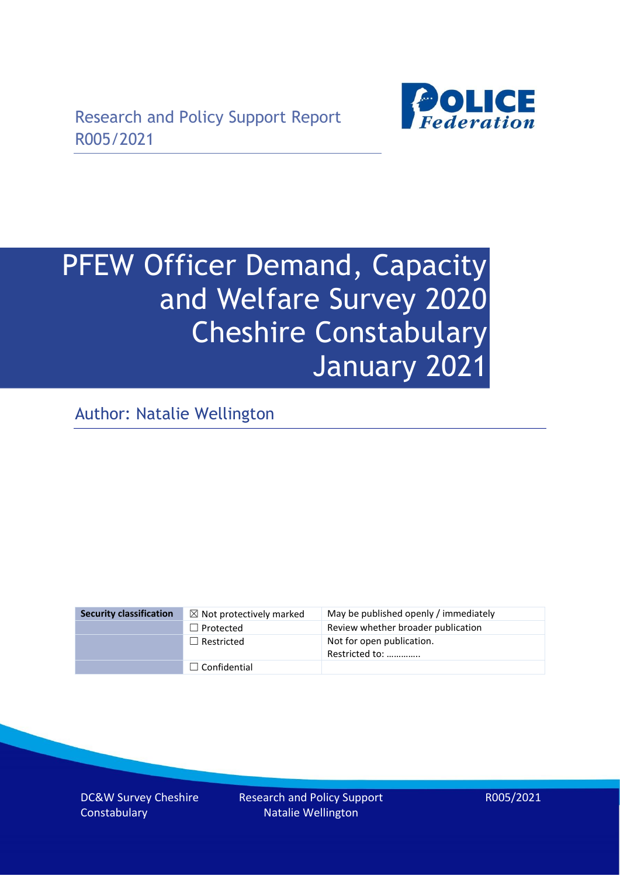

# PFEW Officer Demand, Capacity and Welfare Survey 2020 Cheshire Constabulary January 2021

Author: Natalie Wellington

| <b>Security classification</b> | $\boxtimes$ Not protectively marked | May be published openly / immediately       |
|--------------------------------|-------------------------------------|---------------------------------------------|
|                                | $\Box$ Protected                    | Review whether broader publication          |
|                                | $\Box$ Restricted                   | Not for open publication.<br>Restricted to: |
|                                | $\Box$ Confidential                 |                                             |

DC&W Survey Cheshire **Constabulary** 

Research and Policy Support Natalie Wellington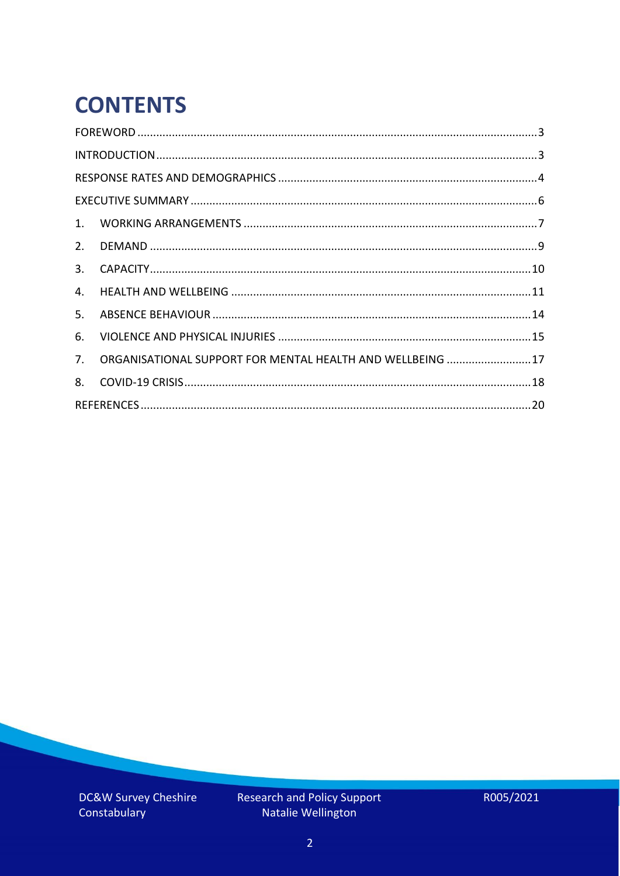# **CONTENTS**

| 3.                                                               |
|------------------------------------------------------------------|
| 4.                                                               |
| 5.                                                               |
| 6.                                                               |
| ORGANISATIONAL SUPPORT FOR MENTAL HEALTH AND WELLBEING  17<br>7. |
| 8.                                                               |
|                                                                  |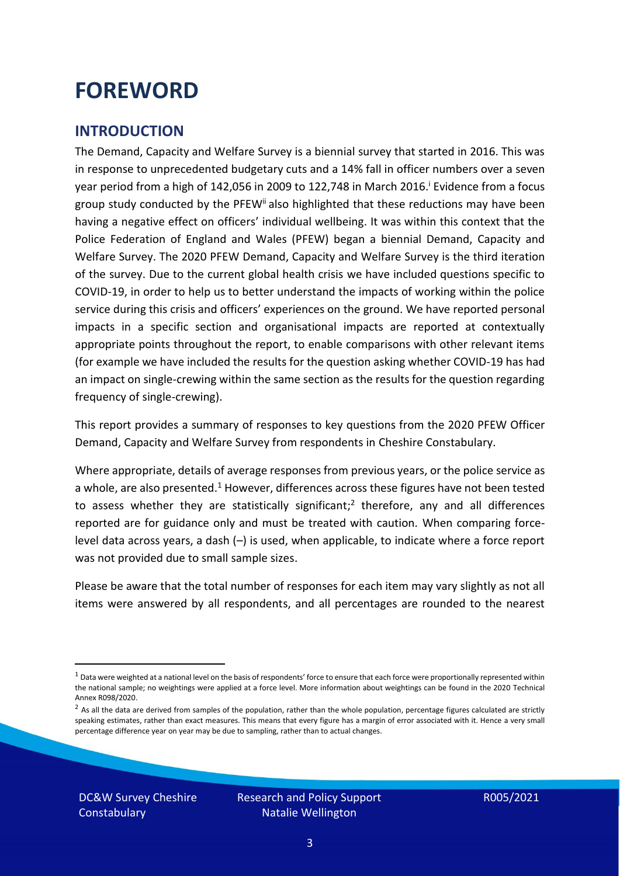## <span id="page-2-0"></span>**FOREWORD**

#### <span id="page-2-1"></span>**INTRODUCTION**

The Demand, Capacity and Welfare Survey is a biennial survey that started in 2016. This was in response to unprecedented budgetary cuts and a 14% fall in officer numbers over a seven year period from a high of 142,056 in 2009 to 122,748 in March 2016. <sup>i</sup> Evidence from a focus group study conducted by the PFEW<sup>ii</sup> also highlighted that these reductions may have been having a negative effect on officers' individual wellbeing. It was within this context that the Police Federation of England and Wales (PFEW) began a biennial Demand, Capacity and Welfare Survey. The 2020 PFEW Demand, Capacity and Welfare Survey is the third iteration of the survey. Due to the current global health crisis we have included questions specific to COVID-19, in order to help us to better understand the impacts of working within the police service during this crisis and officers' experiences on the ground. We have reported personal impacts in a specific section and organisational impacts are reported at contextually appropriate points throughout the report, to enable comparisons with other relevant items (for example we have included the results for the question asking whether COVID-19 has had an impact on single-crewing within the same section as the results for the question regarding frequency of single-crewing).

This report provides a summary of responses to key questions from the 2020 PFEW Officer Demand, Capacity and Welfare Survey from respondents in Cheshire Constabulary.

Where appropriate, details of average responses from previous years, or the police service as a whole, are also presented.<sup>1</sup> However, differences across these figures have not been tested to assess whether they are statistically significant;<sup>2</sup> therefore, any and all differences reported are for guidance only and must be treated with caution. When comparing forcelevel data across years, a dash (–) is used, when applicable, to indicate where a force report was not provided due to small sample sizes.

Please be aware that the total number of responses for each item may vary slightly as not all items were answered by all respondents, and all percentages are rounded to the nearest

DC&W Survey Cheshire **Constabulary** 

 $1$  Data were weighted at a national level on the basis of respondents' force to ensure that each force were proportionally represented within the national sample; no weightings were applied at a force level. More information about weightings can be found in the 2020 Technical Annex R098/2020.

 $2$  As all the data are derived from samples of the population, rather than the whole population, percentage figures calculated are strictly speaking estimates, rather than exact measures. This means that every figure has a margin of error associated with it. Hence a very small percentage difference year on year may be due to sampling, rather than to actual changes.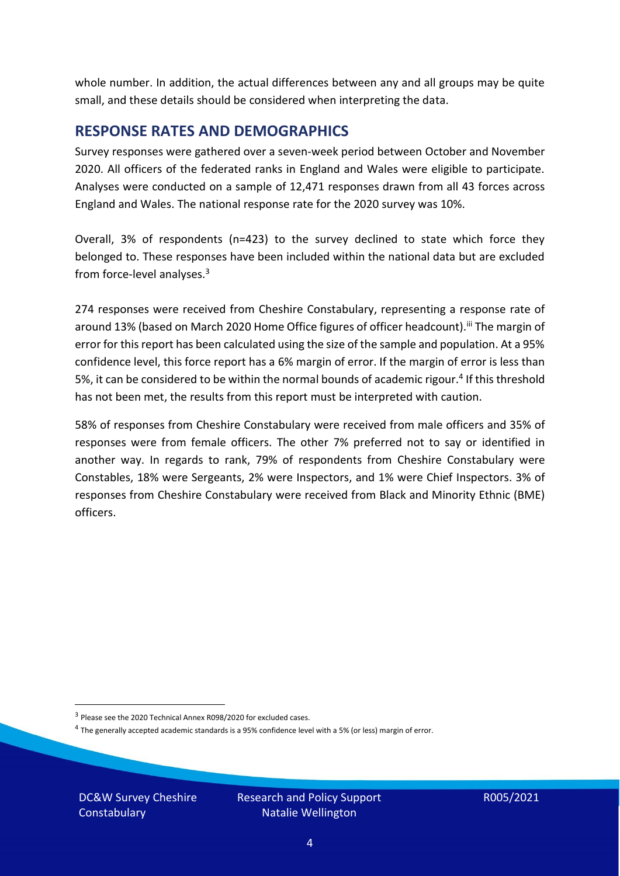whole number. In addition, the actual differences between any and all groups may be quite small, and these details should be considered when interpreting the data.

#### <span id="page-3-0"></span>**RESPONSE RATES AND DEMOGRAPHICS**

Survey responses were gathered over a seven-week period between October and November 2020. All officers of the federated ranks in England and Wales were eligible to participate. Analyses were conducted on a sample of 12,471 responses drawn from all 43 forces across England and Wales. The national response rate for the 2020 survey was 10%.

Overall, 3% of respondents (n=423) to the survey declined to state which force they belonged to. These responses have been included within the national data but are excluded from force-level analyses.<sup>3</sup>

274 responses were received from Cheshire Constabulary, representing a response rate of around 13% (based on March 2020 Home Office figures of officer headcount).<sup>iii</sup> The margin of error for this report has been calculated using the size of the sample and population. At a 95% confidence level, this force report has a 6% margin of error. If the margin of error is less than 5%, it can be considered to be within the normal bounds of academic rigour.<sup>4</sup> If this threshold has not been met, the results from this report must be interpreted with caution.

58% of responses from Cheshire Constabulary were received from male officers and 35% of responses were from female officers. The other 7% preferred not to say or identified in another way. In regards to rank, 79% of respondents from Cheshire Constabulary were Constables, 18% were Sergeants, 2% were Inspectors, and 1% were Chief Inspectors. 3% of responses from Cheshire Constabulary were received from Black and Minority Ethnic (BME) officers.

DC&W Survey Cheshire **Constabulary** 

<sup>&</sup>lt;sup>3</sup> Please see the 2020 Technical Annex R098/2020 for excluded cases.

<sup>&</sup>lt;sup>4</sup> The generally accepted academic standards is a 95% confidence level with a 5% (or less) margin of error.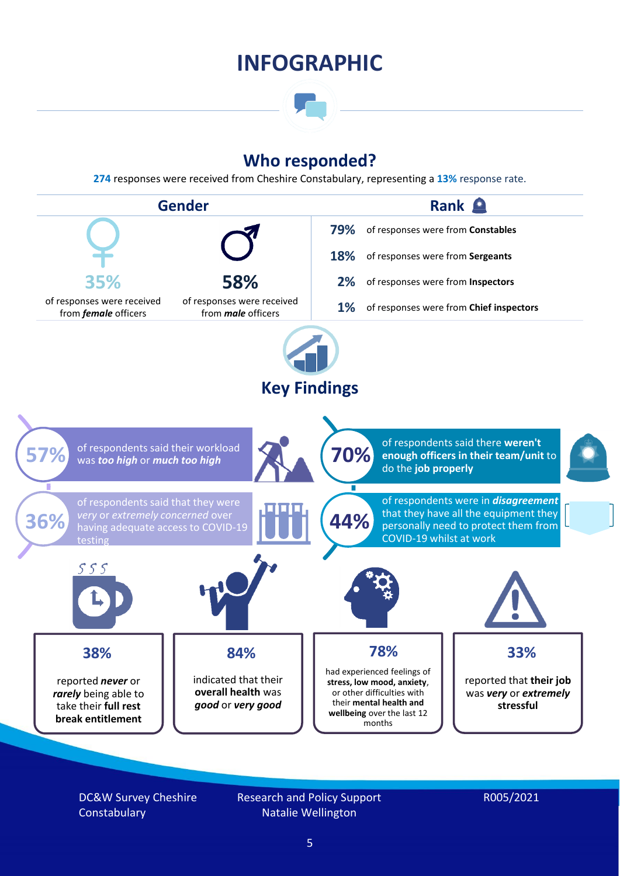### **INFOGRAPHIC**

### **Who responded?**

**274** responses were received from Cheshire Constabulary, representing a **13%** response rate.



DC&W Survey Cheshire **Constabulary** 

Research and Policy Support Natalie Wellington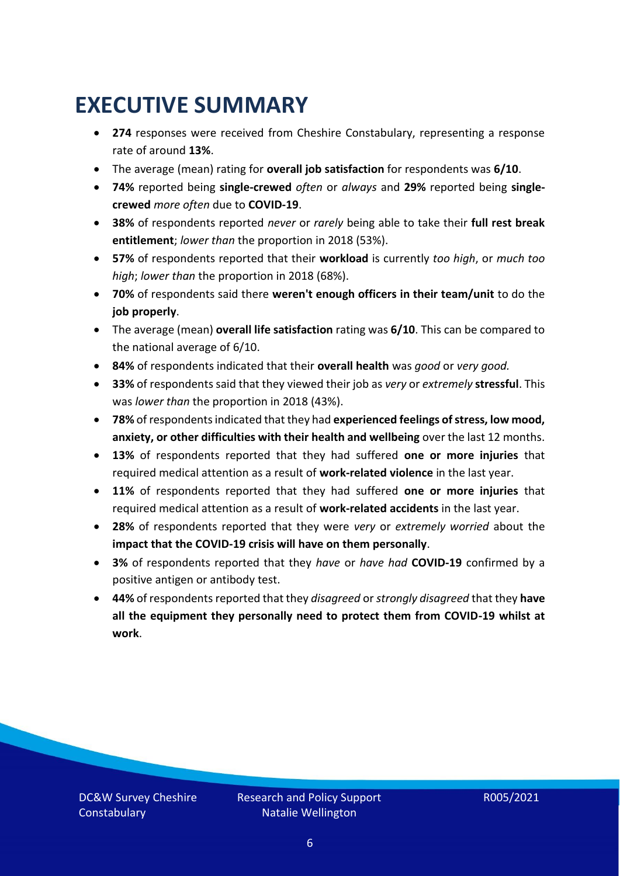# <span id="page-5-0"></span>**EXECUTIVE SUMMARY**

- **274** responses were received from Cheshire Constabulary, representing a response rate of around **13%**.
- The average (mean) rating for **overall job satisfaction** for respondents was **6/10**.
- **74%** reported being **single-crewed** *often* or *always* and **29%** reported being **singlecrewed** *more often* due to **COVID-19**.
- **38%** of respondents reported *never* or *rarely* being able to take their **full rest break entitlement**; *lower than* the proportion in 2018 (53%).
- **57%** of respondents reported that their **workload** is currently *too high*, or *much too high*; *lower than* the proportion in 2018 (68%).
- **70%** of respondents said there **weren't enough officers in their team/unit** to do the **job properly**.
- The average (mean) **overall life satisfaction** rating was **6/10**. This can be compared to the national average of 6/10.
- **84%** of respondents indicated that their **overall health** was *good* or *very good.*
- **33%** of respondents said that they viewed their job as *very* or *extremely* **stressful**. This was *lower than* the proportion in 2018 (43%).
- **78%** of respondents indicated that they had **experienced feelings of stress, low mood, anxiety, or other difficulties with their health and wellbeing** over the last 12 months.
- **13%** of respondents reported that they had suffered **one or more injuries** that required medical attention as a result of **work-related violence** in the last year.
- **11%** of respondents reported that they had suffered **one or more injuries** that required medical attention as a result of **work-related accidents** in the last year.
- **28%** of respondents reported that they were *very* or *extremely worried* about the **impact that the COVID-19 crisis will have on them personally**.
- **3%** of respondents reported that they *have* or *have had* **COVID-19** confirmed by a positive antigen or antibody test.
- **44%** of respondents reported that they *disagreed* or *strongly disagreed* that they **have all the equipment they personally need to protect them from COVID-19 whilst at work**.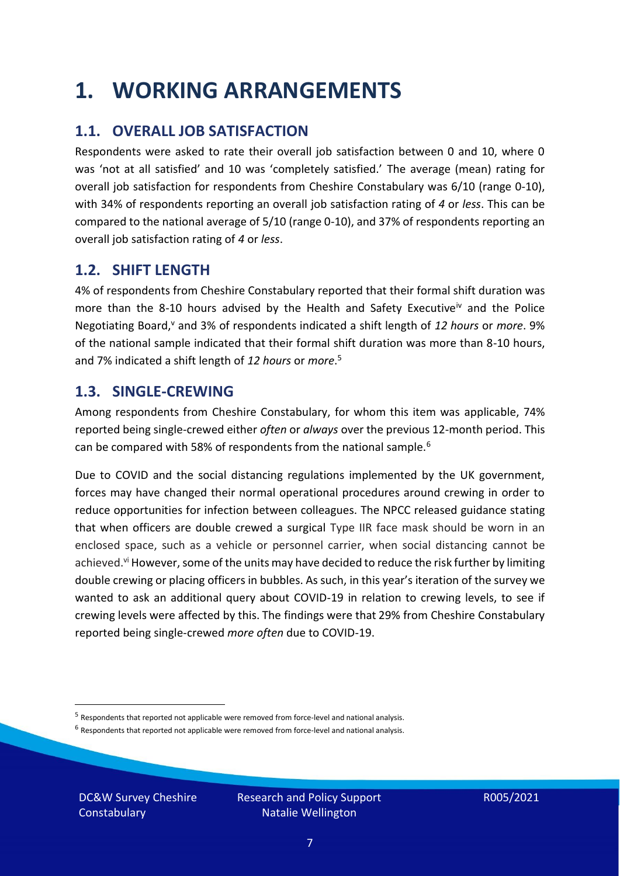## <span id="page-6-0"></span>**1. WORKING ARRANGEMENTS**

### **1.1. OVERALL JOB SATISFACTION**

Respondents were asked to rate their overall job satisfaction between 0 and 10, where 0 was 'not at all satisfied' and 10 was 'completely satisfied.' The average (mean) rating for overall job satisfaction for respondents from Cheshire Constabulary was 6/10 (range 0-10), with 34% of respondents reporting an overall job satisfaction rating of *4* or *less*. This can be compared to the national average of 5/10 (range 0-10), and 37% of respondents reporting an overall job satisfaction rating of *4* or *less*.

#### **1.2. SHIFT LENGTH**

4% of respondents from Cheshire Constabulary reported that their formal shift duration was more than the 8-10 hours advised by the Health and Safety Executive<sup>iv</sup> and the Police Negotiating Board,<sup>v</sup> and 3% of respondents indicated a shift length of 12 hours or *more*. 9% of the national sample indicated that their formal shift duration was more than 8-10 hours, and 7% indicated a shift length of *12 hours* or *more*. 5

#### **1.3. SINGLE-CREWING**

Among respondents from Cheshire Constabulary, for whom this item was applicable, 74% reported being single-crewed either *often* or *always* over the previous 12-month period. This can be compared with 58% of respondents from the national sample.<sup>6</sup>

Due to COVID and the social distancing regulations implemented by the UK government, forces may have changed their normal operational procedures around crewing in order to reduce opportunities for infection between colleagues. The NPCC released guidance stating that when officers are double crewed a surgical Type IIR face mask should be worn in an enclosed space, such as a vehicle or personnel carrier, when social distancing cannot be achieved.<sup>vi</sup> However, some of the units may have decided to reduce the risk further by limiting double crewing or placing officers in bubbles. As such, in this year's iteration of the survey we wanted to ask an additional query about COVID-19 in relation to crewing levels, to see if crewing levels were affected by this. The findings were that 29% from Cheshire Constabulary reported being single-crewed *more often* due to COVID-19.

 $<sup>6</sup>$  Respondents that reported not applicable were removed from force-level and national analysis.</sup>

DC&W Survey Cheshire **Constabulary** 

<sup>&</sup>lt;sup>5</sup> Respondents that reported not applicable were removed from force-level and national analysis.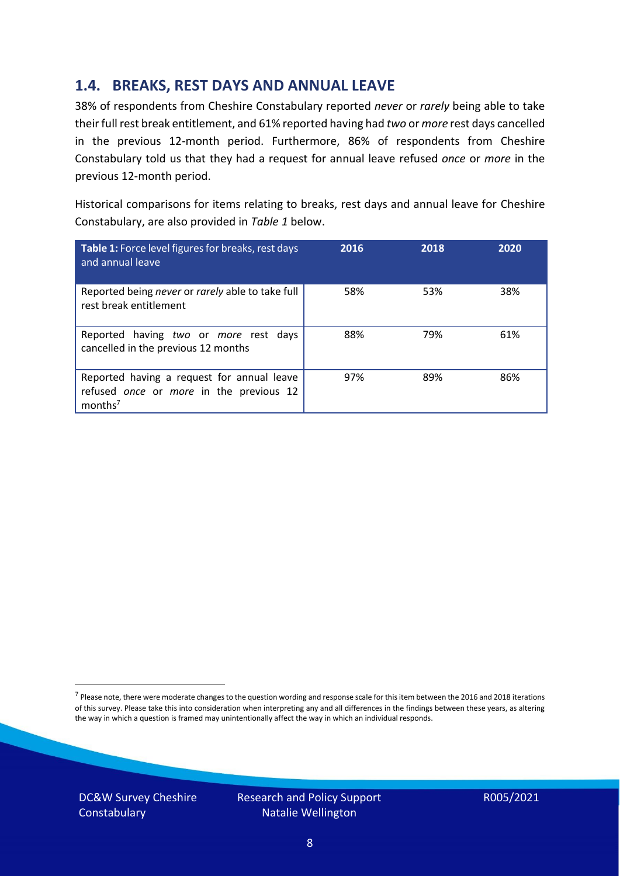### **1.4. BREAKS, REST DAYS AND ANNUAL LEAVE**

38% of respondents from Cheshire Constabulary reported *never* or *rarely* being able to take their full rest break entitlement, and 61% reported having had *two* or *more* rest days cancelled in the previous 12-month period. Furthermore, 86% of respondents from Cheshire Constabulary told us that they had a request for annual leave refused *once* or *more* in the previous 12-month period.

Historical comparisons for items relating to breaks, rest days and annual leave for Cheshire Constabulary, are also provided in *Table 1* below.

| Table 1: Force level figures for breaks, rest days<br>and annual leave                                       | 2016 | 2018 | 2020 |
|--------------------------------------------------------------------------------------------------------------|------|------|------|
| Reported being never or rarely able to take full<br>rest break entitlement                                   | 58%  | 53%  | 38%  |
| Reported having two or more rest days<br>cancelled in the previous 12 months                                 | 88%  | 79%  | 61%  |
| Reported having a request for annual leave<br>refused once or more in the previous 12<br>months <sup>7</sup> | 97%  | 89%  | 86%  |

DC&W Survey Cheshire **Constabulary** 

Research and Policy Support Natalie Wellington

<sup>&</sup>lt;sup>7</sup> Please note, there were moderate changes to the question wording and response scale for this item between the 2016 and 2018 iterations of this survey. Please take this into consideration when interpreting any and all differences in the findings between these years, as altering the way in which a question is framed may unintentionally affect the way in which an individual responds.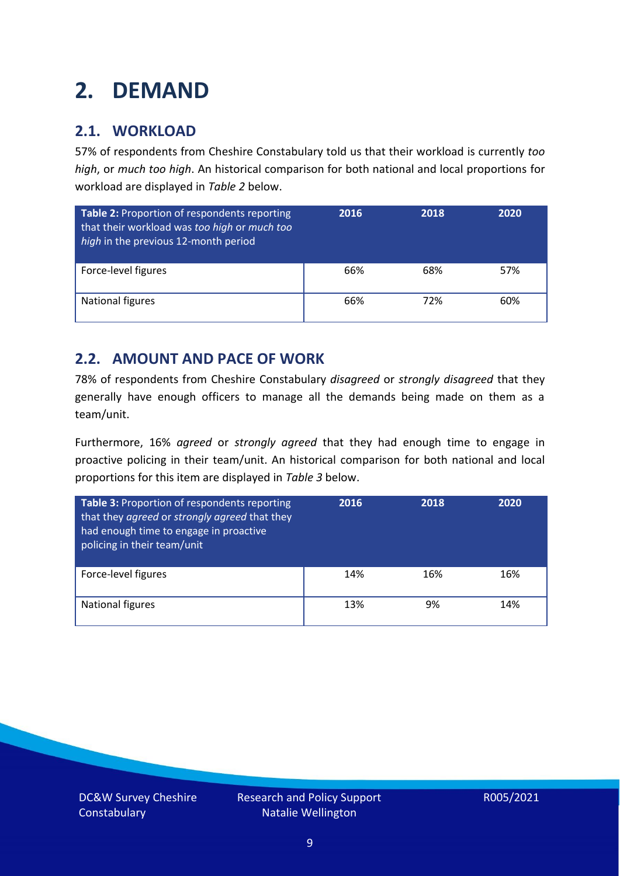# <span id="page-8-0"></span>**2. DEMAND**

### **2.1. WORKLOAD**

57% of respondents from Cheshire Constabulary told us that their workload is currently *too high*, or *much too high*. An historical comparison for both national and local proportions for workload are displayed in *Table 2* below.

| Table 2: Proportion of respondents reporting<br>that their workload was too high or much too<br>high in the previous 12-month period | 2016 | 2018 | 2020 |
|--------------------------------------------------------------------------------------------------------------------------------------|------|------|------|
| Force-level figures                                                                                                                  | 66%  | 68%  | 57%  |
| <b>National figures</b>                                                                                                              | 66%  | 72%  | 60%  |

### **2.2. AMOUNT AND PACE OF WORK**

78% of respondents from Cheshire Constabulary *disagreed* or *strongly disagreed* that they generally have enough officers to manage all the demands being made on them as a team/unit.

Furthermore, 16% *agreed* or *strongly agreed* that they had enough time to engage in proactive policing in their team/unit. An historical comparison for both national and local proportions for this item are displayed in *Table 3* below.

| Table 3: Proportion of respondents reporting<br>that they agreed or strongly agreed that they<br>had enough time to engage in proactive<br>policing in their team/unit | 2016 | 2018 | 2020 |
|------------------------------------------------------------------------------------------------------------------------------------------------------------------------|------|------|------|
| Force-level figures                                                                                                                                                    | 14%  | 16%  | 16%  |
| National figures                                                                                                                                                       | 13%  | 9%   | 14%  |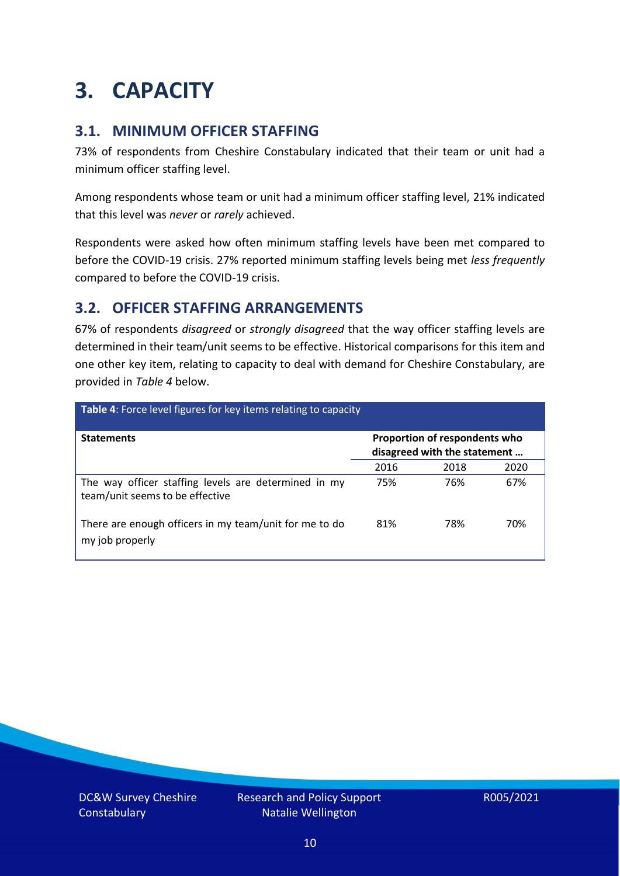# <span id="page-9-0"></span>**3. CAPACITY**

#### **3.1. MINIMUM OFFICER STAFFING**

73% of respondents from Cheshire Constabulary indicated that their team or unit had a minimum officer staffing level.

Among respondents whose team or unit had a minimum officer staffing level, 21% indicated that this level was *never* or *rarely* achieved.

Respondents were asked how often minimum staffing levels have been met compared to before the COVID-19 crisis. 27% reported minimum staffing levels being met *less frequently* compared to before the COVID-19 crisis.

### **3.2. OFFICER STAFFING ARRANGEMENTS**

67% of respondents *disagreed* or *strongly disagreed* that the way officer staffing levels are determined in their team/unit seems to be effective. Historical comparisons for this item and one other key item, relating to capacity to deal with demand for Cheshire Constabulary, are provided in *Table 4* below.

| Table 4: Force level figures for key items relating to capacity                         |                                                               |      |      |  |
|-----------------------------------------------------------------------------------------|---------------------------------------------------------------|------|------|--|
| <b>Statements</b>                                                                       | Proportion of respondents who<br>disagreed with the statement |      |      |  |
|                                                                                         | 2016                                                          | 2018 | 2020 |  |
| The way officer staffing levels are determined in my<br>team/unit seems to be effective | 75%                                                           | 76%  | 67%  |  |
| There are enough officers in my team/unit for me to do<br>my job properly               | 81%                                                           | 78%  | 70%  |  |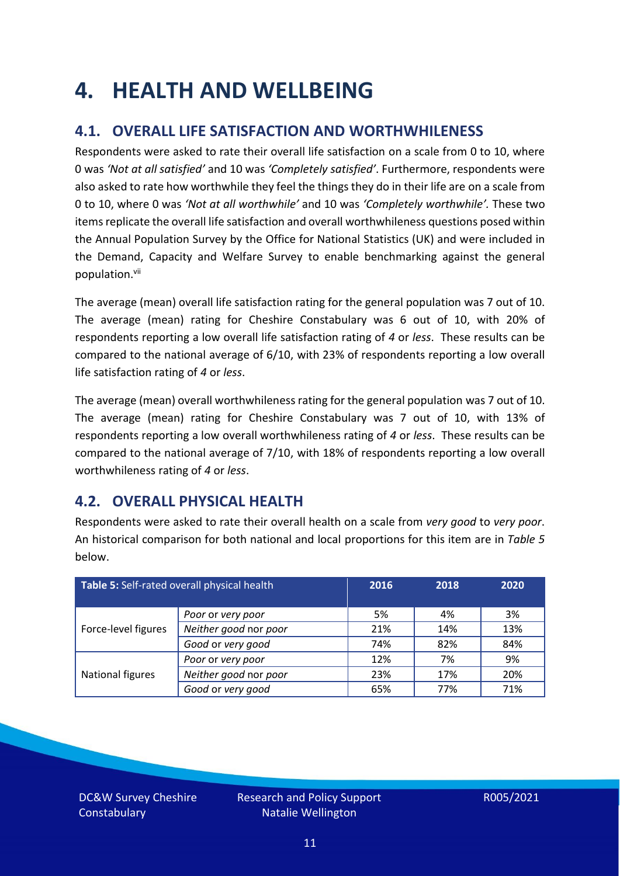# <span id="page-10-0"></span>**4. HEALTH AND WELLBEING**

### **4.1. OVERALL LIFE SATISFACTION AND WORTHWHILENESS**

Respondents were asked to rate their overall life satisfaction on a scale from 0 to 10, where 0 was *'Not at all satisfied'* and 10 was *'Completely satisfied'*. Furthermore, respondents were also asked to rate how worthwhile they feel the things they do in their life are on a scale from 0 to 10, where 0 was *'Not at all worthwhile'* and 10 was *'Completely worthwhile'.* These two items replicate the overall life satisfaction and overall worthwhileness questions posed within the Annual Population Survey by the Office for National Statistics (UK) and were included in the Demand, Capacity and Welfare Survey to enable benchmarking against the general population. vii

The average (mean) overall life satisfaction rating for the general population was 7 out of 10. The average (mean) rating for Cheshire Constabulary was 6 out of 10, with 20% of respondents reporting a low overall life satisfaction rating of *4* or *less*. These results can be compared to the national average of 6/10, with 23% of respondents reporting a low overall life satisfaction rating of *4* or *less*.

The average (mean) overall worthwhileness rating for the general population was 7 out of 10. The average (mean) rating for Cheshire Constabulary was 7 out of 10, with 13% of respondents reporting a low overall worthwhileness rating of *4* or *less*. These results can be compared to the national average of 7/10, with 18% of respondents reporting a low overall worthwhileness rating of *4* or *less*.

### **4.2. OVERALL PHYSICAL HEALTH**

Respondents were asked to rate their overall health on a scale from *very good* to *very poor*. An historical comparison for both national and local proportions for this item are in *Table 5* below.

| Table 5: Self-rated overall physical health |                       | 2016 | 2018 | 2020 |
|---------------------------------------------|-----------------------|------|------|------|
|                                             | Poor or very poor     | 5%   | 4%   | 3%   |
| Force-level figures                         | Neither good nor poor | 21%  | 14%  | 13%  |
|                                             | Good or very good     | 74%  | 82%  | 84%  |
|                                             | Poor or very poor     | 12%  | 7%   | 9%   |
| National figures                            | Neither good nor poor | 23%  | 17%  | 20%  |
|                                             | Good or very good     | 65%  | 77%  | 71%  |

DC&W Survey Cheshire **Constabulary**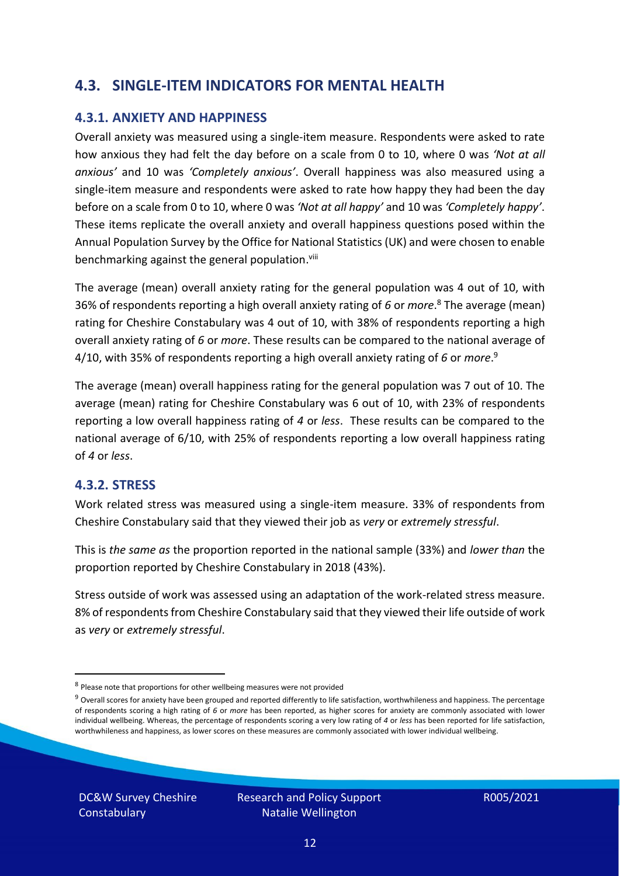### **4.3. SINGLE-ITEM INDICATORS FOR MENTAL HEALTH**

#### **4.3.1. ANXIETY AND HAPPINESS**

Overall anxiety was measured using a single-item measure. Respondents were asked to rate how anxious they had felt the day before on a scale from 0 to 10, where 0 was *'Not at all anxious'* and 10 was *'Completely anxious'*. Overall happiness was also measured using a single-item measure and respondents were asked to rate how happy they had been the day before on a scale from 0 to 10, where 0 was *'Not at all happy'* and 10 was *'Completely happy'*. These items replicate the overall anxiety and overall happiness questions posed within the Annual Population Survey by the Office for National Statistics (UK) and were chosen to enable benchmarking against the general population.<sup>viii</sup>

The average (mean) overall anxiety rating for the general population was 4 out of 10, with 36% of respondents reporting a high overall anxiety rating of *6* or *more*. <sup>8</sup> The average (mean) rating for Cheshire Constabulary was 4 out of 10, with 38% of respondents reporting a high overall anxiety rating of *6* or *more*. These results can be compared to the national average of 4/10, with 35% of respondents reporting a high overall anxiety rating of *6* or *more*. 9

The average (mean) overall happiness rating for the general population was 7 out of 10. The average (mean) rating for Cheshire Constabulary was 6 out of 10, with 23% of respondents reporting a low overall happiness rating of *4* or *less*. These results can be compared to the national average of 6/10, with 25% of respondents reporting a low overall happiness rating of *4* or *less*.

#### **4.3.2. STRESS**

Work related stress was measured using a single-item measure. 33% of respondents from Cheshire Constabulary said that they viewed their job as *very* or *extremely stressful*.

This is *the same as* the proportion reported in the national sample (33%) and *lower than* the proportion reported by Cheshire Constabulary in 2018 (43%).

Stress outside of work was assessed using an adaptation of the work-related stress measure. 8% of respondents from Cheshire Constabulary said that they viewed their life outside of work as *very* or *extremely stressful*.

DC&W Survey Cheshire **Constabulary** 

<sup>&</sup>lt;sup>8</sup> Please note that proportions for other wellbeing measures were not provided

 $9$  Overall scores for anxiety have been grouped and reported differently to life satisfaction, worthwhileness and happiness. The percentage of respondents scoring a high rating of *6* or *more* has been reported, as higher scores for anxiety are commonly associated with lower individual wellbeing. Whereas, the percentage of respondents scoring a very low rating of *4* or *less* has been reported for life satisfaction, worthwhileness and happiness, as lower scores on these measures are commonly associated with lower individual wellbeing.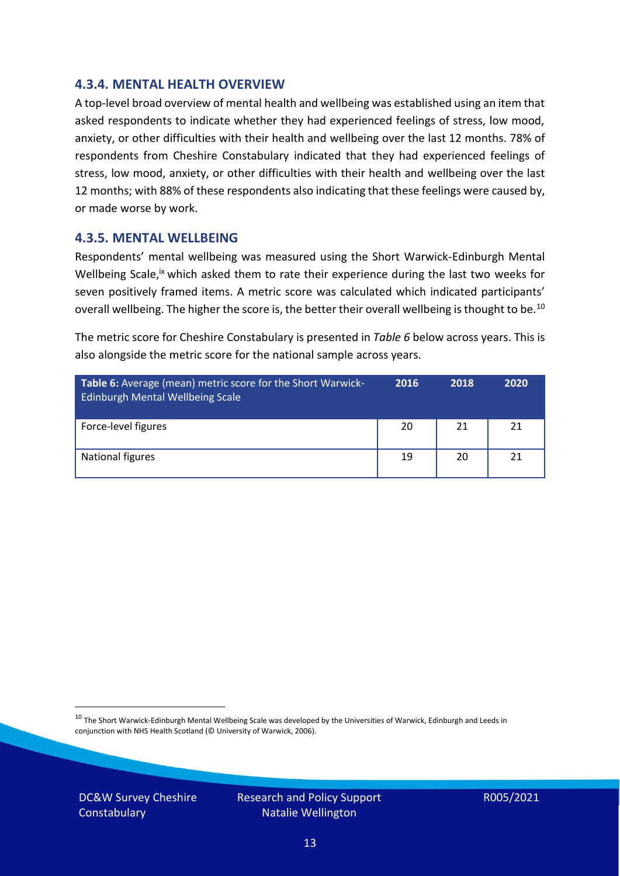#### **4.3.4. MENTAL HEALTH OVERVIEW**

A top-level broad overview of mental health and wellbeing was established using an item that asked respondents to indicate whether they had experienced feelings of stress, low mood, anxiety, or other difficulties with their health and wellbeing over the last 12 months. 78% of respondents from Cheshire Constabulary indicated that they had experienced feelings of stress, low mood, anxiety, or other difficulties with their health and wellbeing over the last 12 months; with 88% of these respondents also indicating that these feelings were caused by, or made worse by work.

#### **4.3.5. MENTAL WELLBEING**

Respondents' mental wellbeing was measured using the Short Warwick-Edinburgh Mental Wellbeing Scale,<sup>ix</sup> which asked them to rate their experience during the last two weeks for seven positively framed items. A metric score was calculated which indicated participants' overall wellbeing. The higher the score is, the better their overall wellbeing is thought to be.<sup>10</sup>

The metric score for Cheshire Constabulary is presented in *Table 6* below across years. This is also alongside the metric score for the national sample across years.

| <b>Table 6:</b> Average (mean) metric score for the Short Warwick-<br>Edinburgh Mental Wellbeing Scale | 2016 | 2018 | 2020 |
|--------------------------------------------------------------------------------------------------------|------|------|------|
| Force-level figures                                                                                    | 20   | 21   | 21   |
| National figures                                                                                       | 19   | 20   | 21   |

 $10$  The Short Warwick-Edinburgh Mental Wellbeing Scale was developed by the Universities of Warwick, Edinburgh and Leeds in conjunction with NHS Health Scotland (© University of Warwick, 2006).

DC&W Survey Cheshire **Constabulary** 

Research and Policy Support Natalie Wellington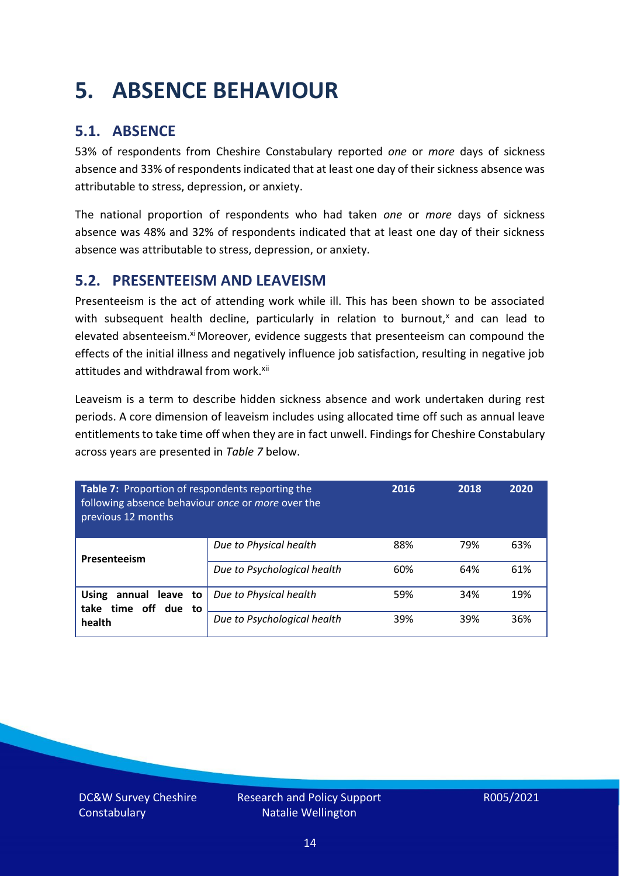# <span id="page-13-0"></span>**5. ABSENCE BEHAVIOUR**

### **5.1. ABSENCE**

53% of respondents from Cheshire Constabulary reported *one* or *more* days of sickness absence and 33% of respondents indicated that at least one day of their sickness absence was attributable to stress, depression, or anxiety.

The national proportion of respondents who had taken *one* or *more* days of sickness absence was 48% and 32% of respondents indicated that at least one day of their sickness absence was attributable to stress, depression, or anxiety.

#### **5.2. PRESENTEEISM AND LEAVEISM**

Presenteeism is the act of attending work while ill. This has been shown to be associated with subsequent health decline, particularly in relation to burnout, $x$  and can lead to elevated absenteeism.<sup>xi</sup> Moreover, evidence suggests that presenteeism can compound the effects of the initial illness and negatively influence job satisfaction, resulting in negative job attitudes and withdrawal from work.<sup>xii</sup>

Leaveism is a term to describe hidden sickness absence and work undertaken during rest periods. A core dimension of leaveism includes using allocated time off such as annual leave entitlements to take time off when they are in fact unwell. Findings for Cheshire Constabulary across years are presented in *Table 7* below.

| Table 7: Proportion of respondents reporting the<br>following absence behaviour once or more over the<br>previous 12 months |                             | 2016 | 2018 | 2020 |
|-----------------------------------------------------------------------------------------------------------------------------|-----------------------------|------|------|------|
| Presenteeism                                                                                                                | Due to Physical health      | 88%  | 79%  | 63%  |
|                                                                                                                             | Due to Psychological health | 60%  | 64%  | 61%  |
| <b>Using</b><br>annual leave to<br>time off due to<br>take                                                                  | Due to Physical health      | 59%  | 34%  | 19%  |
| health                                                                                                                      | Due to Psychological health | 39%  | 39%  | 36%  |

DC&W Survey Cheshire **Constabulary**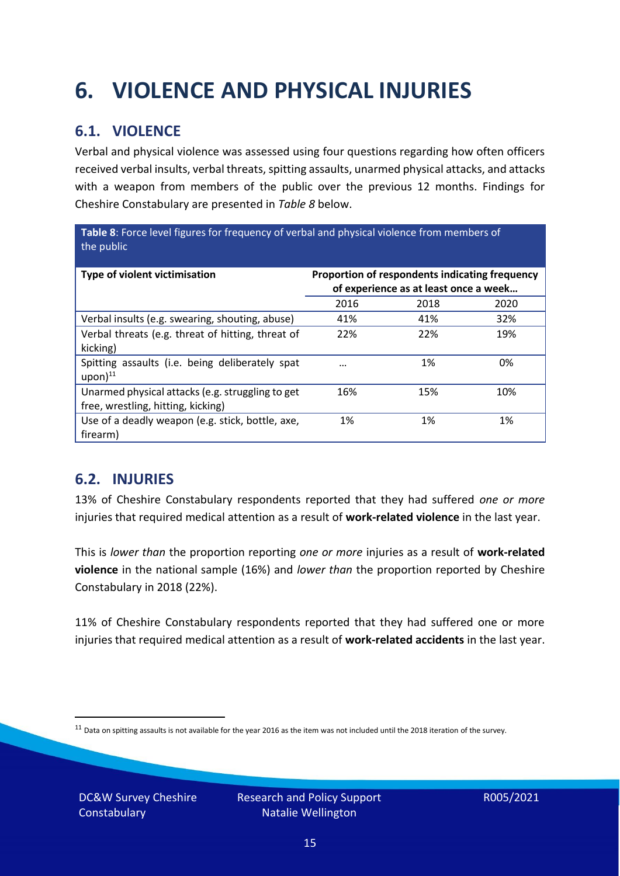# <span id="page-14-0"></span>**6. VIOLENCE AND PHYSICAL INJURIES**

### **6.1. VIOLENCE**

Verbal and physical violence was assessed using four questions regarding how often officers received verbal insults, verbal threats, spitting assaults, unarmed physical attacks, and attacks with a weapon from members of the public over the previous 12 months. Findings for Cheshire Constabulary are presented in *Table 8* below.

**Table 8**: Force level figures for frequency of verbal and physical violence from members of the public

| Type of violent victimisation                                                          | Proportion of respondents indicating frequency<br>of experience as at least once a week |      |      |
|----------------------------------------------------------------------------------------|-----------------------------------------------------------------------------------------|------|------|
|                                                                                        | 2016                                                                                    | 2018 | 2020 |
| Verbal insults (e.g. swearing, shouting, abuse)                                        | 41%                                                                                     | 41%  | 32%  |
| Verbal threats (e.g. threat of hitting, threat of<br>kicking)                          | 22%                                                                                     | 22%  | 19%  |
| Spitting assaults (i.e. being deliberately spat<br>$upon)$ <sup>11</sup>               |                                                                                         | 1%   | 0%   |
| Unarmed physical attacks (e.g. struggling to get<br>free, wrestling, hitting, kicking) | 16%                                                                                     | 15%  | 10%  |
| Use of a deadly weapon (e.g. stick, bottle, axe,<br>firearm)                           | 1%                                                                                      | 1%   | 1%   |

### **6.2. INJURIES**

13% of Cheshire Constabulary respondents reported that they had suffered *one or more* injuries that required medical attention as a result of **work-related violence** in the last year.

This is *lower than* the proportion reporting *one or more* injuries as a result of **work-related violence** in the national sample (16%) and *lower than* the proportion reported by Cheshire Constabulary in 2018 (22%).

11% of Cheshire Constabulary respondents reported that they had suffered one or more injuries that required medical attention as a result of **work-related accidents** in the last year.

DC&W Survey Cheshire **Constabulary** 

 $11$  Data on spitting assaults is not available for the year 2016 as the item was not included until the 2018 iteration of the survey.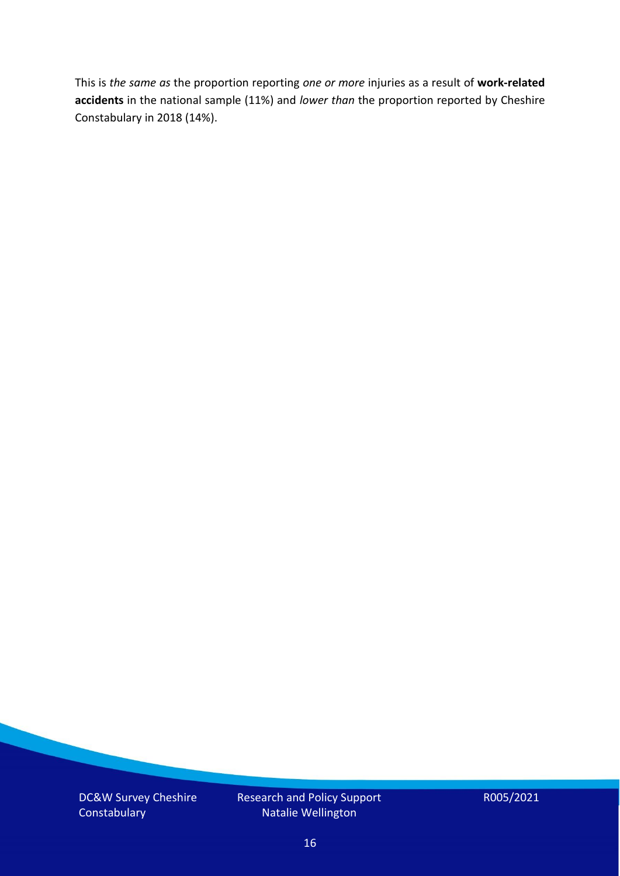This is *the same as* the proportion reporting *one or more* injuries as a result of **work-related accidents** in the national sample (11%) and *lower than* the proportion reported by Cheshire Constabulary in 2018 (14%).

DC&W Survey Cheshire **Constabulary** 

Research and Policy Support Natalie Wellington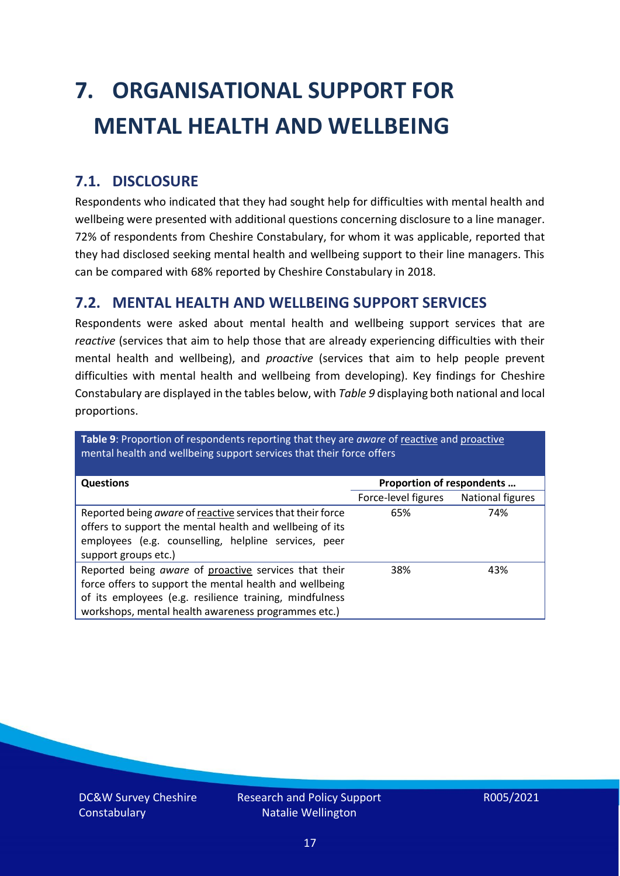# <span id="page-16-0"></span>**7. ORGANISATIONAL SUPPORT FOR MENTAL HEALTH AND WELLBEING**

### **7.1. DISCLOSURE**

Respondents who indicated that they had sought help for difficulties with mental health and wellbeing were presented with additional questions concerning disclosure to a line manager. 72% of respondents from Cheshire Constabulary, for whom it was applicable, reported that they had disclosed seeking mental health and wellbeing support to their line managers. This can be compared with 68% reported by Cheshire Constabulary in 2018.

#### **7.2. MENTAL HEALTH AND WELLBEING SUPPORT SERVICES**

Respondents were asked about mental health and wellbeing support services that are *reactive* (services that aim to help those that are already experiencing difficulties with their mental health and wellbeing), and *proactive* (services that aim to help people prevent difficulties with mental health and wellbeing from developing). Key findings for Cheshire Constabulary are displayed in the tables below, with *Table 9* displaying both national and local proportions.

**Table 9**: Proportion of respondents reporting that they are *aware* of reactive and proactive mental health and wellbeing support services that their force offers

| <b>Questions</b>                                                                                                                                                                                                                   | Proportion of respondents |                  |  |
|------------------------------------------------------------------------------------------------------------------------------------------------------------------------------------------------------------------------------------|---------------------------|------------------|--|
|                                                                                                                                                                                                                                    | Force-level figures       | National figures |  |
| Reported being aware of reactive services that their force<br>offers to support the mental health and wellbeing of its<br>employees (e.g. counselling, helpline services, peer<br>support groups etc.)                             | 65%                       | 74%              |  |
| Reported being aware of proactive services that their<br>force offers to support the mental health and wellbeing<br>of its employees (e.g. resilience training, mindfulness<br>workshops, mental health awareness programmes etc.) | 38%                       | 43%              |  |

DC&W Survey Cheshire **Constabulary**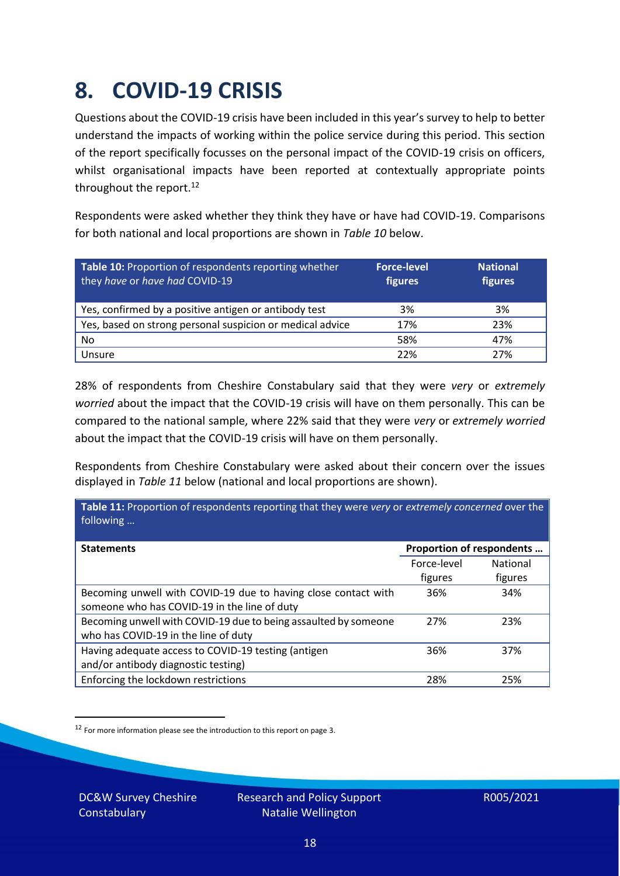# <span id="page-17-0"></span>**8. COVID-19 CRISIS**

Questions about the COVID-19 crisis have been included in this year's survey to help to better understand the impacts of working within the police service during this period. This section of the report specifically focusses on the personal impact of the COVID-19 crisis on officers, whilst organisational impacts have been reported at contextually appropriate points throughout the report.<sup>12</sup>

Respondents were asked whether they think they have or have had COVID-19. Comparisons for both national and local proportions are shown in *Table 10* below.

| Table 10: Proportion of respondents reporting whether<br>they have or have had COVID-19 | <b>Force-level</b><br>figures | <b>National</b><br>figures |
|-----------------------------------------------------------------------------------------|-------------------------------|----------------------------|
| Yes, confirmed by a positive antigen or antibody test                                   | 3%                            | 3%                         |
| Yes, based on strong personal suspicion or medical advice                               | 17%                           | 23%                        |
| No                                                                                      | 58%                           | 47%                        |
| Unsure                                                                                  | 22%                           | 27%                        |

28% of respondents from Cheshire Constabulary said that they were *very* or *extremely worried* about the impact that the COVID-19 crisis will have on them personally. This can be compared to the national sample, where 22% said that they were *very* or *extremely worried* about the impact that the COVID-19 crisis will have on them personally.

Respondents from Cheshire Constabulary were asked about their concern over the issues displayed in *Table 11* below (national and local proportions are shown).

| Table 11: Proportion of respondents reporting that they were very or extremely concerned over the<br>following |                           |                 |
|----------------------------------------------------------------------------------------------------------------|---------------------------|-----------------|
| <b>Statements</b>                                                                                              | Proportion of respondents |                 |
|                                                                                                                | Force-level               | <b>National</b> |
|                                                                                                                | figures                   | figures         |
| Becoming unwell with COVID-19 due to having close contact with                                                 | 36%                       | 34%             |
| someone who has COVID-19 in the line of duty                                                                   |                           |                 |
| Becoming unwell with COVID-19 due to being assaulted by someone                                                | 27%                       | 23%             |
| who has COVID-19 in the line of duty                                                                           |                           |                 |
| Having adequate access to COVID-19 testing (antigen                                                            | 36%                       | 37%             |
| and/or antibody diagnostic testing)                                                                            |                           |                 |
| Enforcing the lockdown restrictions                                                                            | 28%                       | 25%             |

<sup>12</sup> For more information please see the introduction to this report on page 3.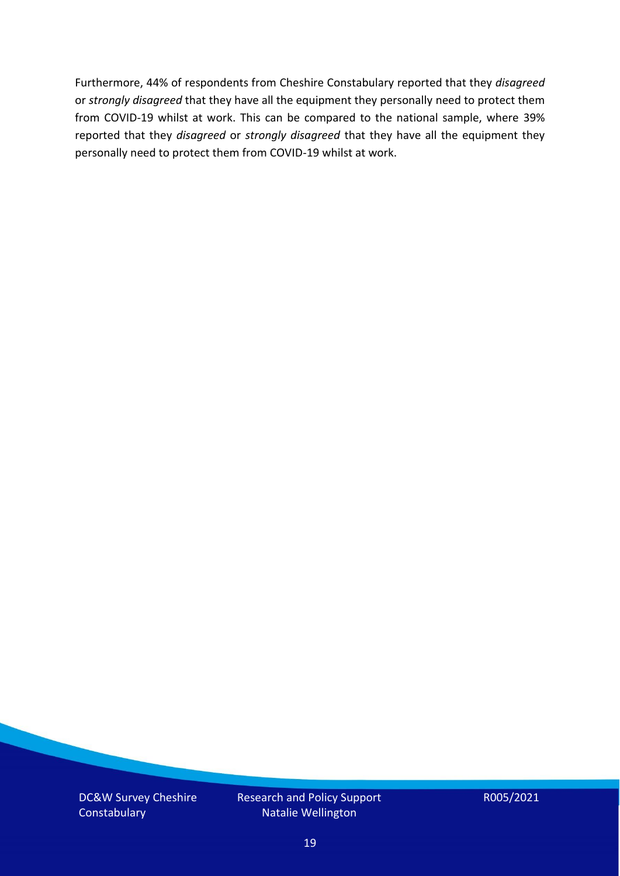Furthermore, 44% of respondents from Cheshire Constabulary reported that they *disagreed*  or *strongly disagreed* that they have all the equipment they personally need to protect them from COVID-19 whilst at work. This can be compared to the national sample, where 39% reported that they *disagreed* or *strongly disagreed* that they have all the equipment they personally need to protect them from COVID-19 whilst at work.

DC&W Survey Cheshire **Constabulary** 

Research and Policy Support Natalie Wellington